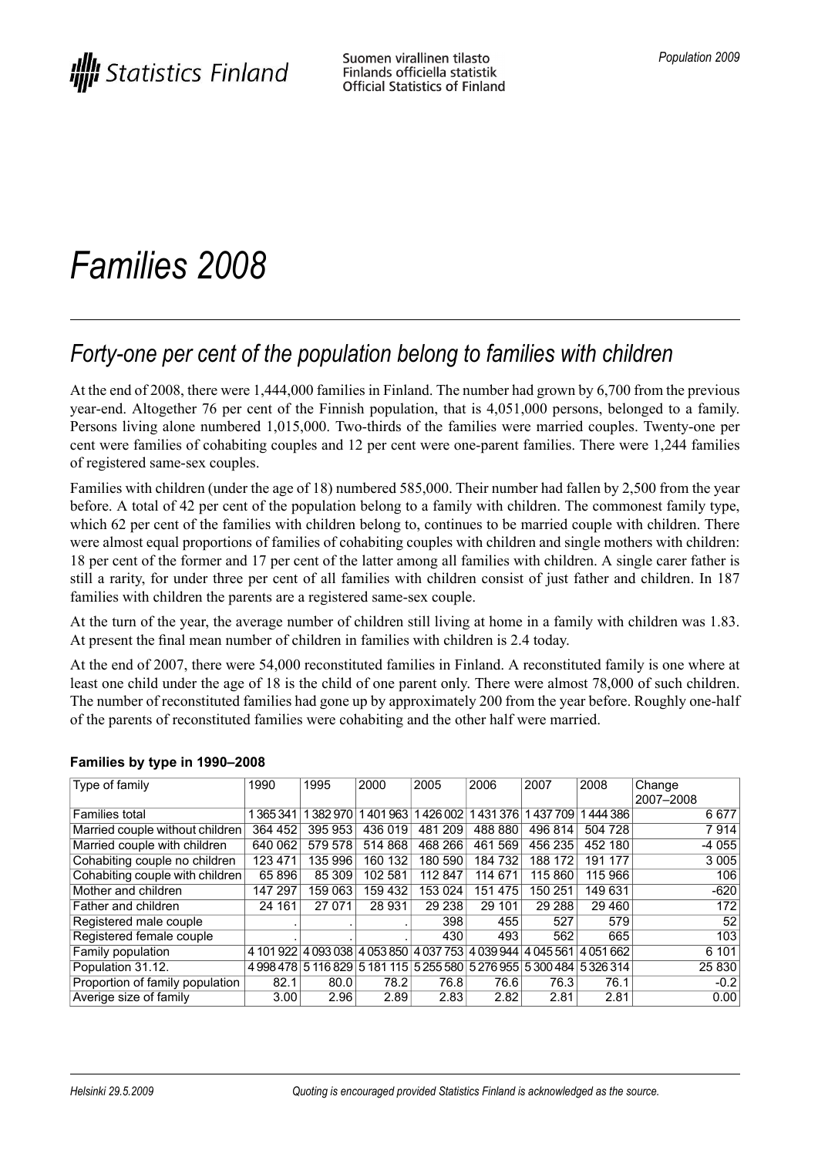# *Families 2008*

# *Forty-one per cent of the population belong to families with children*

At the end of 2008, there were 1,444,000 families in Finland. The number had grown by 6,700 from the previous year-end. Altogether 76 per cent of the Finnish population, that is 4,051,000 persons, belonged to a family. Persons living alone numbered 1,015,000. Two-thirds of the families were married couples. Twenty-one per cent were families of cohabiting couples and 12 per cent were one-parent families. There were 1,244 families of registered same-sex couples.

Families with children (under the age of 18) numbered 585,000. Their number had fallen by 2,500 from the year before. A total of 42 per cent of the population belong to a family with children. The commonest family type, which 62 per cent of the families with children belong to, continues to be married couple with children. There were almost equal proportions of families of cohabiting couples with children and single mothers with children: 18 per cent of the former and 17 per cent of the latter among all families with children. A single carer father is still a rarity, for under three per cent of all families with children consist of just father and children. In 187 families with children the parents are a registered same-sex couple.

At the turn of the year, the average number of children still living at home in a family with children was 1.83. At present the final mean number of children in families with children is 2.4 today.

At the end of 2007, there were 54,000 reconstituted families in Finland. A reconstituted family is one where at least one child under the age of 18 is the child of one parent only. There were almost 78,000 of such children. The number of reconstituted families had gone up by approximately 200 from the year before. Roughly one-half of the parents of reconstituted families were cohabiting and the other half were married.

| Type of family                  | 1990      | 1995    | 2000    | 2005    | 2006                                                                  | 2007    | 2008    | Change    |
|---------------------------------|-----------|---------|---------|---------|-----------------------------------------------------------------------|---------|---------|-----------|
|                                 |           |         |         |         |                                                                       |         |         | 2007-2008 |
| <b>Families total</b>           | 365341    | 382970  | 1401963 | 1426002 | 1431376                                                               | 1437709 | 444 386 | 6677      |
| Married couple without children | 364 452   | 395 953 | 436 019 | 481 209 | 488 880                                                               | 496 814 | 504 728 | 7914      |
| Married couple with children    | 640 062   | 579 578 | 514 868 | 468 266 | 461 569                                                               | 456 235 | 452 180 | $-4055$   |
| Cohabiting couple no children   | 123 471   | 135 996 | 160 132 | 180 590 | 184 732                                                               | 188 172 | 191 177 | 3 0 0 5   |
| Cohabiting couple with children | 65 896    | 85 309  | 102 581 | 112 847 | 114 671                                                               | 115 860 | 115 966 | 106       |
| Mother and children             | 147 297   | 159 063 | 159 432 | 153 024 | 151 475                                                               | 150 251 | 149 631 | $-620$    |
| Father and children             | 24 161    | 27 071  | 28 931  | 29 238  | 29 101                                                                | 29 28 8 | 29 4 60 | 172       |
| Registered male couple          |           |         |         | 398     | 455                                                                   | 527     | 579     | 52        |
| Registered female couple        |           |         |         | 430     | 493                                                                   | 562     | 665     | 103       |
| Family population               | 4 101 922 |         |         |         | 4 093 038   4 053 850   4 037 753   4 039 944   4 045 561             |         | 4051662 | 6 101     |
| Population 31.12.               |           |         |         |         | 4 998 478 5 116 829 5 181 115 5 255 580 5 276 955 5 300 484 5 326 314 |         |         | 25 830    |
| Proportion of family population | 82.1      | 80.0    | 78.2    | 76.8    | 76.6                                                                  | 76.3    | 76.1    | $-0.2$    |
| Averige size of family          | 3.00      | 2.96    | 2.89    | 2.83    | 2.82                                                                  | 2.81    | 2.81    | 0.00      |

### **Families by type in 1990–2008**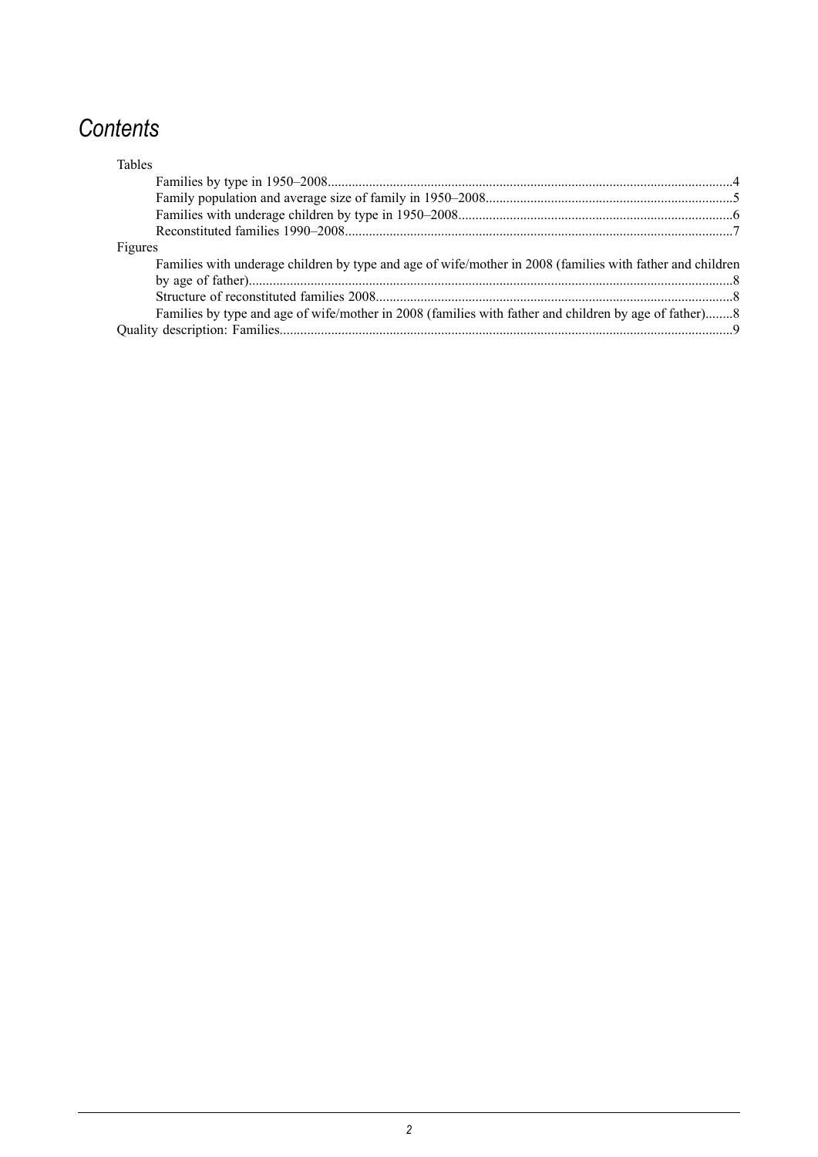# *Contents*

| <b>Tables</b>                                                                                             |  |
|-----------------------------------------------------------------------------------------------------------|--|
|                                                                                                           |  |
|                                                                                                           |  |
|                                                                                                           |  |
|                                                                                                           |  |
| Figures                                                                                                   |  |
| Families with underage children by type and age of wife/mother in 2008 (families with father and children |  |
|                                                                                                           |  |
|                                                                                                           |  |
| Families by type and age of wife/mother in 2008 (families with father and children by age of father)8     |  |
|                                                                                                           |  |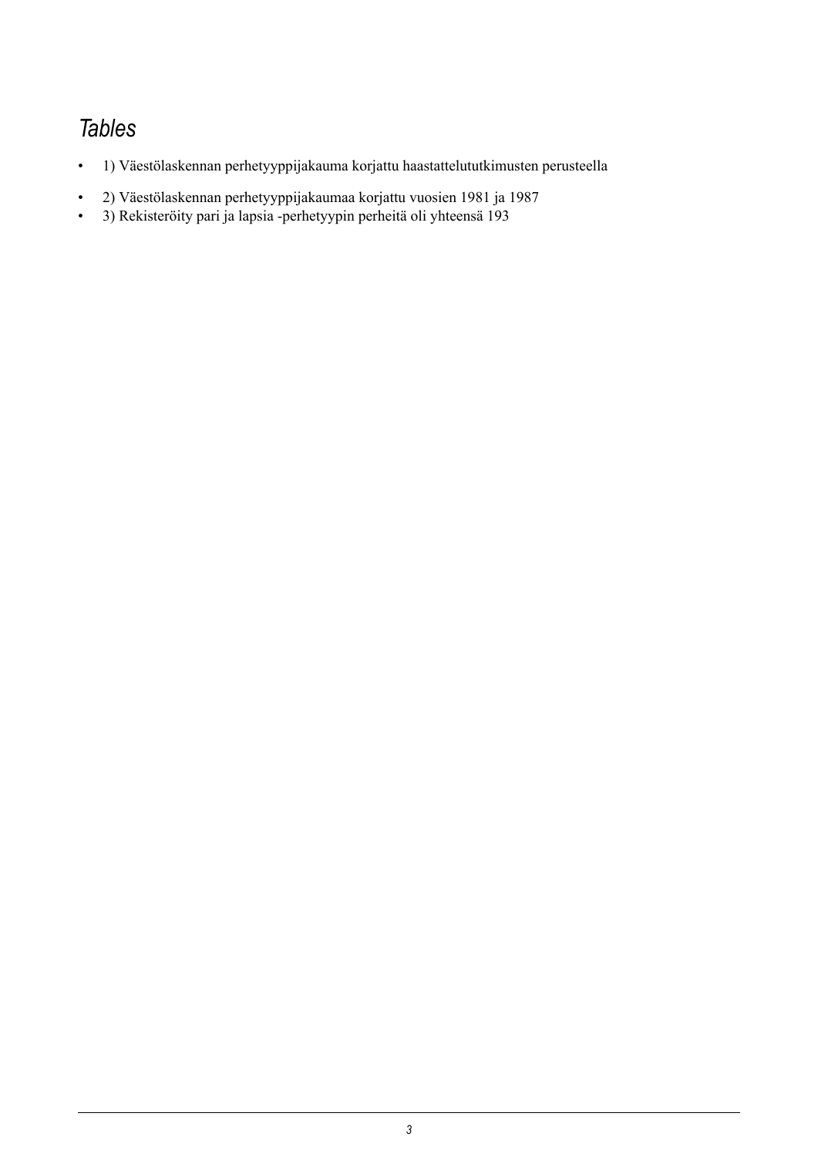# *Tables*

- 1) Väestölaskennan perhetyyppijakauma korjattu haastattelututkimusten perusteella
- 2) Väestölaskennan perhetyyppijakaumaa korjattu vuosien 1981 ja 1987
- 3) Rekisteröity pari ja lapsia -perhetyypin perheitä oli yhteensä 193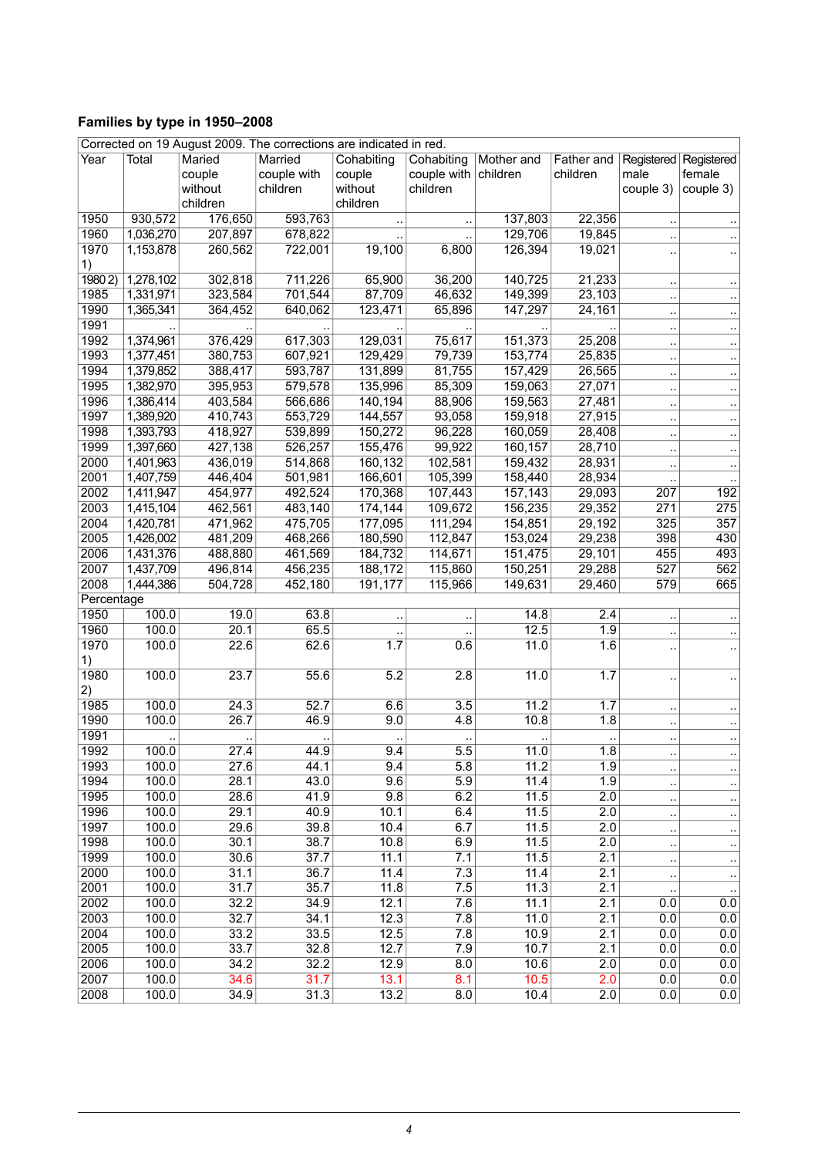# <span id="page-3-0"></span>**Families by type in 1950–2008**

| Corrected on 19 August 2009. The corrections are indicated in red. |           |          |             |                      |                      |            |                  |                         |                      |
|--------------------------------------------------------------------|-----------|----------|-------------|----------------------|----------------------|------------|------------------|-------------------------|----------------------|
| Year                                                               | Total     | Maried   | Married     | Cohabiting           | Cohabiting           | Mother and | Father and       | Registered   Registered |                      |
|                                                                    |           | couple   | couple with | couple               | couple with children |            | children         | male                    | female               |
|                                                                    |           | without  | children    | without              | children             |            |                  | couple 3)               | couple 3)            |
|                                                                    |           | children |             | children             |                      |            |                  |                         |                      |
| 1950                                                               | 930,572   | 176,650  | 593,763     |                      |                      | 137,803    | 22,356           |                         |                      |
| 1960                                                               | 1,036,270 | 207,897  | 678,822     |                      | $\ddotsc$            | 129,706    | 19,845           | ٠.                      |                      |
| 1970                                                               | 1,153,878 | 260,562  | 722,001     | 19,100               | 6,800                | 126,394    | 19,021           |                         |                      |
|                                                                    |           |          |             |                      |                      |            |                  |                         |                      |
| 1)<br>19802                                                        | 1,278,102 | 302,818  | 711,226     | 65,900               | 36,200               | 140,725    | 21,233           |                         |                      |
|                                                                    |           |          |             |                      |                      |            |                  | $\ddot{\phantom{a}}$    | $\ddot{\phantom{a}}$ |
| 1985                                                               | 1,331,971 | 323,584  | 701,544     | 87,709               | 46,632               | 149,399    | 23,103           | $\ddot{\phantom{a}}$    | $\ddotsc$            |
| 1990                                                               | 1,365,341 | 364,452  | 640,062     | 123,471              | 65,896               | 147,297    | 24,161           | $\ddot{\phantom{a}}$    | $\ddotsc$            |
| 1991                                                               |           |          |             |                      |                      |            |                  | $\ddot{\phantom{a}}$    | ٠.                   |
| 1992                                                               | 1,374,961 | 376,429  | 617,303     | 129,031              | 75,617               | 151,373    | 25,208           | $\ddot{\phantom{a}}$    | $\ddotsc$            |
| 1993                                                               | 1,377,451 | 380,753  | 607,921     | 129,429              | 79,739               | 153,774    | 25,835           | $\ddot{\phantom{a}}$    | $\cdot$ .            |
| 1994                                                               | 1,379,852 | 388,417  | 593,787     | 131,899              | 81,755               | 157,429    | 26,565           | $\ddot{\phantom{a}}$    | $\ddot{\phantom{1}}$ |
| 1995                                                               | 1,382,970 | 395,953  | 579,578     | 135,996              | 85,309               | 159,063    | 27,071           | $\ddot{\phantom{a}}$    | $\ddotsc$            |
| 1996                                                               | 1,386,414 | 403,584  | 566,686     | 140,194              | 88,906               | 159,563    | 27,481           | $\ddot{\phantom{a}}$    | $\ddotsc$            |
| 1997                                                               | 1,389,920 | 410,743  | 553,729     | 144,557              | 93,058               | 159,918    | 27,915           | $\ddot{\phantom{a}}$    | $\cdot$ .            |
| 1998                                                               | 1,393,793 | 418,927  | 539,899     | 150,272              | 96,228               | 160,059    | 28,408           | ٠.                      | $\ddotsc$            |
| 1999                                                               | 1,397,660 | 427,138  | 526,257     | 155,476              | 99,922               | 160,157    | 28,710           | $\ddot{\phantom{a}}$    | $\cdot$ .            |
| 2000                                                               | 1,401,963 | 436,019  | 514,868     | 160,132              | 102,581              | 159,432    | 28,931           | ٠.                      | $\cdot$ .            |
| 2001                                                               | 1,407,759 | 446,404  | 501,981     | 166,601              | 105,399              | 158,440    | 28,934           |                         |                      |
| 2002                                                               | 1,411,947 | 454,977  | 492,524     | 170,368              | 107,443              | 157,143    | 29,093           | 207                     | 192                  |
|                                                                    |           |          |             |                      | 109,672              | 156,235    |                  |                         |                      |
| 2003                                                               | 1,415,104 | 462,561  | 483,140     | 174,144              |                      |            | 29,352           | 271                     | 275                  |
| 2004                                                               | 1,420,781 | 471,962  | 475,705     | 177,095              | 111,294              | 154,851    | 29,192           | 325                     | 357                  |
| 2005                                                               | 1,426,002 | 481,209  | 468,266     | 180,590              | 112,847              | 153,024    | 29,238           | 398                     | 430                  |
| 2006                                                               | 1,431,376 | 488,880  | 461,569     | 184,732              | 114,671              | 151,475    | 29,101           | 455                     | 493                  |
| 2007                                                               | 1,437,709 | 496,814  | 456,235     | 188,172              | 115,860              | 150,251    | 29,288           | 527                     | 562                  |
| 2008                                                               | 1,444,386 | 504,728  | 452,180     | 191,177              | 115,966              | 149,631    | 29,460           | 579                     | 665                  |
| Percentage                                                         |           |          |             |                      |                      |            |                  |                         |                      |
| 1950                                                               | 100.0     | 19.0     | 63.8        | $\ddot{\phantom{a}}$ | $\ddot{\phantom{a}}$ | 14.8       | $\overline{2.4}$ | $\ddot{\phantom{a}}$    |                      |
| 1960                                                               | 100.0     | 20.1     | 65.5        |                      |                      | 12.5       | 1.9              | ٠.                      |                      |
| 1970                                                               | 100.0     | 22.6     | 62.6        | 1.7                  | 0.6                  | 11.0       | 1.6              |                         |                      |
| 1)                                                                 |           |          |             |                      |                      |            |                  |                         |                      |
| 1980                                                               | 100.0     | 23.7     | 55.6        | 5.2                  | 2.8                  | 11.0       | 1.7              | ٠.                      |                      |
| 2)                                                                 |           |          |             |                      |                      |            |                  |                         |                      |
| 1985                                                               | 100.0     | 24.3     | 52.7        | 6.6                  | $\overline{3.5}$     | 11.2       | 1.7              | $\ddot{\phantom{0}}$    | $\ddot{\phantom{a}}$ |
| 1990                                                               | 100.0     | 26.7     | 46.9        | 9.0                  | 4.8                  | 10.8       | 1.8              | ٠.                      |                      |
| 1991                                                               |           |          |             |                      |                      |            |                  |                         |                      |
| 1992                                                               | 100.0     | 27.4     | 44.9        | 9.4                  | 5.5                  | 11.0       | 1.8              |                         | $\ddotsc$            |
| 1993                                                               | 100.0     | 27.6     | 44.1        | 9.4                  | 5.8                  | 11.2       | 1.9              |                         |                      |
| 1994                                                               | 100.0     | 28.1     | 43.0        | 9.6                  | 5.9                  | 11.4       | 1.9              | ٠.                      | ٠.                   |
|                                                                    |           |          |             |                      |                      |            |                  | $\ddot{\phantom{a}}$    | $\cdot$ .            |
| 1995                                                               | 100.0     | 28.6     | 41.9        | 9.8                  | 6.2                  | 11.5       | 2.0              | $\ddot{\phantom{a}}$    | $\cdot$ .            |
| 1996                                                               | 100.0     | 29.1     | 40.9        | 10.1                 | 6.4                  | 11.5       | 2.0              | $\ddot{\phantom{0}}$    | ٠.                   |
| 1997                                                               | 100.0     | 29.6     | 39.8        | 10.4                 | 6.7                  | 11.5       | 2.0              | $\ddot{\phantom{a}}$    | $\ddotsc$            |
| 1998                                                               | 100.0     | 30.1     | 38.7        | 10.8                 | 6.9                  | 11.5       | 2.0              | $\ddot{\phantom{a}}$    | $\cdot$ .            |
| 1999                                                               | 100.0     | 30.6     | 37.7        | 11.1                 | 7.1                  | 11.5       | 2.1              | $\ddot{\phantom{a}}$    | $\ddot{\phantom{0}}$ |
| 2000                                                               | 100.0     | 31.1     | 36.7        | 11.4                 | 7.3                  | 11.4       | 2.1              |                         | $\cdot$ .            |
| 2001                                                               | 100.0     | 31.7     | 35.7        | 11.8                 | 7.5                  | 11.3       | 2.1              | $\ddot{\phantom{a}}$    | $\ldots$             |
| 2002                                                               | 100.0     | 32.2     | 34.9        | 12.1                 | 7.6                  | 11.1       | 2.1              | 0.0                     | 0.0                  |
| 2003                                                               | 100.0     | 32.7     | 34.1        | 12.3                 | 7.8                  | 11.0       | 2.1              | 0.0                     | 0.0                  |
| 2004                                                               | 100.0     | 33.2     | 33.5        | 12.5                 | 7.8                  | 10.9       | 2.1              | 0.0                     | 0.0                  |
| 2005                                                               | 100.0     | 33.7     | 32.8        | 12.7                 | 7.9                  | 10.7       | 2.1              | 0.0                     | 0.0                  |
| 2006                                                               | 100.0     | 34.2     | 32.2        | 12.9                 | 8.0                  | 10.6       | 2.0              | 0.0                     | 0.0                  |
| 2007                                                               | 100.0     | 34.6     | 31.7        | 13.1                 | 8.1                  | 10.5       | 2.0              | 0.0                     | 0.0                  |
| 2008                                                               | 100.0     | 34.9     | 31.3        | 13.2                 | 8.0                  | 10.4       | 2.0              | 0.0                     | 0.0                  |
|                                                                    |           |          |             |                      |                      |            |                  |                         |                      |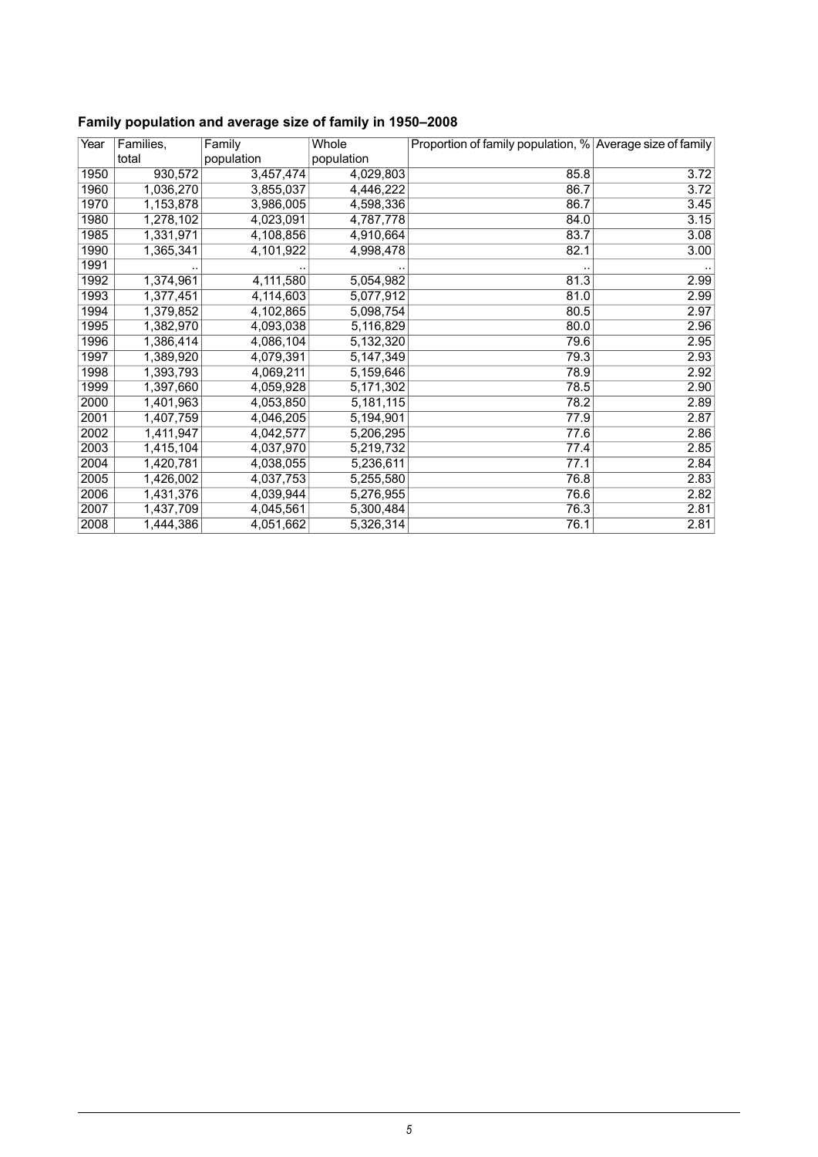| Year | Families, | Family     | Whole       | Proportion of family population, % Average size of family |      |
|------|-----------|------------|-------------|-----------------------------------------------------------|------|
|      | total     | population | population  |                                                           |      |
| 1950 | 930,572   | 3,457,474  | 4,029,803   | 85.8                                                      | 3.72 |
| 1960 | 1,036,270 | 3,855,037  | 4,446,222   | 86.7                                                      | 3.72 |
| 1970 | 1,153,878 | 3,986,005  | 4,598,336   | 86.7                                                      | 3.45 |
| 1980 | 1,278,102 | 4,023,091  | 4,787,778   | 84.0                                                      | 3.15 |
| 1985 | 1,331,971 | 4,108,856  | 4,910,664   | 83.7                                                      | 3.08 |
| 1990 | 1,365,341 | 4,101,922  | 4,998,478   | 82.1                                                      | 3.00 |
| 1991 |           |            |             |                                                           |      |
| 1992 | 1,374,961 | 4,111,580  | 5,054,982   | 81.3                                                      | 2.99 |
| 1993 | 1,377,451 | 4,114,603  | 5,077,912   | 81.0                                                      | 2.99 |
| 1994 | 1,379,852 | 4,102,865  | 5,098,754   | 80.5                                                      | 2.97 |
| 1995 | 1,382,970 | 4,093,038  | 5,116,829   | 80.0                                                      | 2.96 |
| 1996 | 1,386,414 | 4,086,104  | 5,132,320   | 79.6                                                      | 2.95 |
| 1997 | 1,389,920 | 4,079,391  | 5, 147, 349 | 79.3                                                      | 2.93 |
| 1998 | 1,393,793 | 4,069,211  | 5,159,646   | 78.9                                                      | 2.92 |
| 1999 | 1,397,660 | 4,059,928  | 5,171,302   | 78.5                                                      | 2.90 |
| 2000 | 1,401,963 | 4,053,850  | 5,181,115   | 78.2                                                      | 2.89 |
| 2001 | 1,407,759 | 4,046,205  | 5,194,901   | 77.9                                                      | 2.87 |
| 2002 | 1,411,947 | 4,042,577  | 5,206,295   | 77.6                                                      | 2.86 |
| 2003 | 1,415,104 | 4,037,970  | 5,219,732   | 77.4                                                      | 2.85 |
| 2004 | 1,420,781 | 4,038,055  | 5,236,611   | 77.1                                                      | 2.84 |
| 2005 | 1,426,002 | 4,037,753  | 5,255,580   | 76.8                                                      | 2.83 |
| 2006 | 1,431,376 | 4,039,944  | 5,276,955   | 76.6                                                      | 2.82 |
| 2007 | 1,437,709 | 4,045,561  | 5,300,484   | 76.3                                                      | 2.81 |
| 2008 | 1,444,386 | 4,051,662  | 5,326,314   | 76.1                                                      | 2.81 |

# <span id="page-4-0"></span>**Family population and average size of family in 1950–2008**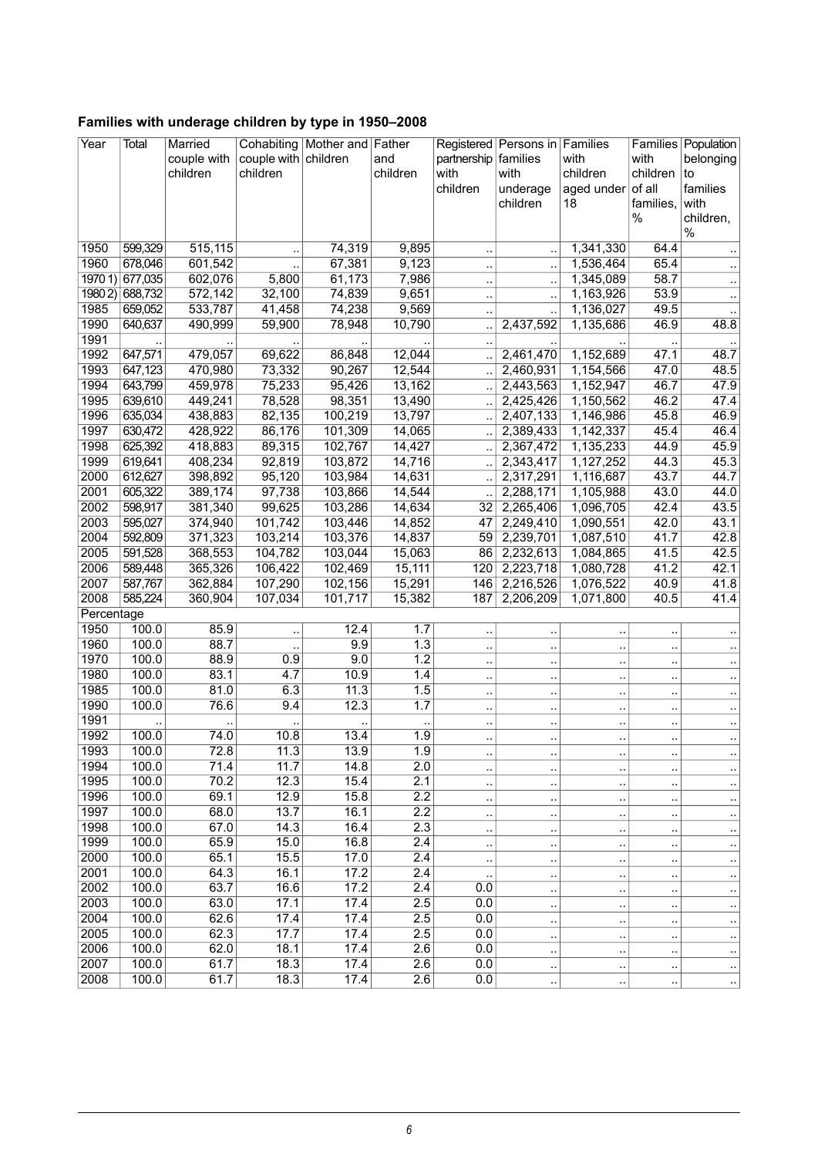| Year       | Total           | Married     |                      | Cohabiting   Mother and   Father |                  |                      | Registered Persons in Families |                      |                      | Families Population    |
|------------|-----------------|-------------|----------------------|----------------------------------|------------------|----------------------|--------------------------------|----------------------|----------------------|------------------------|
|            |                 | couple with | couple with children |                                  | and              | partnership families |                                | with                 | with                 | belonging              |
|            |                 | children    | children             |                                  | children         | with                 | with                           | children             | children             | to                     |
|            |                 |             |                      |                                  |                  | children             | underage                       | aged under           | of all               | families               |
|            |                 |             |                      |                                  |                  |                      | children                       | 18                   | families,            | with                   |
|            |                 |             |                      |                                  |                  |                      |                                |                      | %                    | children,              |
|            |                 |             |                      |                                  |                  |                      |                                |                      |                      | %                      |
| 1950       | 599,329         | 515,115     |                      | 74,319                           | 9,895            | $\ddot{\phantom{a}}$ |                                | 1,341,330            | 64.4                 | $\ldots$               |
| 1960       | 678,046         | 601,542     |                      | 67,381                           | 9,123            | $\ddotsc$            |                                | 1,536,464            | 65.4                 | $\ddot{\phantom{1}}$   |
|            | 1970 1) 677,035 | 602,076     | 5,800                | 61,173                           | 7,986            | $\ddot{\phantom{a}}$ |                                | 1,345,089            | 58.7                 | $\ldots$               |
| 19802      | 688,732         | 572,142     | 32,100               | 74,839                           | 9,651            | $\cdot$              |                                | 1,163,926            | 53.9                 | $\cdot$ .              |
| 1985       | 659,052         | 533,787     | 41,458               | 74,238                           | 9,569            | $\ddot{\phantom{a}}$ |                                | 1,136,027            | 49.5                 | $\ddotsc$              |
| 1990       | 640,637         | 490,999     | 59,900               | 78,948                           | 10,790           | $\ddot{\phantom{a}}$ | 2,437,592                      | 1,135,686            | 46.9                 | 48.8                   |
| 1991       |                 |             |                      |                                  |                  | $\ddot{\phantom{a}}$ |                                |                      |                      |                        |
| 1992       | 647,571         | 479,057     | 69,622               | 86,848                           | 12,044           | $\ddot{\phantom{a}}$ | 2,461,470                      | 1,152,689            | 47.1                 | 48.7                   |
| 1993       | 647,123         | 470,980     | 73,332               | 90,267                           | 12,544           | $\ddotsc$            | 2,460,931                      | 1,154,566            | 47.0                 | 48.5                   |
| 1994       | 643,799         | 459,978     | 75,233               | 95,426                           | 13,162           | $\ddot{\phantom{a}}$ | 2,443,563                      | 1,152,947            | 46.7                 | 47.9                   |
| 1995       | 639,610         | 449,241     | 78,528               | 98,351                           | 13,490           | $\ddot{\phantom{a}}$ | 2,425,426                      | 1,150,562            | 46.2                 | 47.4                   |
| 1996       | 635,034         | 438,883     | 82,135               | 100,219                          | 13,797           | $\ddot{\phantom{0}}$ | 2,407,133                      | 1,146,986            | 45.8                 | 46.9                   |
| 1997       | 630,472         | 428,922     | 86,176               | 101,309                          | 14,065           | $\ddot{\phantom{a}}$ | 2,389,433                      | 1,142,337            | 45.4                 | 46.4                   |
| 1998       | 625,392         | 418,883     | 89,315               | 102,767                          | 14,427           | $\ddot{\phantom{a}}$ | 2,367,472                      | 1,135,233            | 44.9                 | 45.9                   |
| 1999       | 619,641         | 408,234     | 92,819               | 103,872                          | 14,716           | $\ddot{\phantom{a}}$ | 2,343,417                      | 1,127,252            | 44.3                 | 45.3                   |
| 2000       | 612,627         | 398,892     | 95,120               | 103,984                          | 14,631           | $\ddotsc$            | 2,317,291                      | 1,116,687            | 43.7                 | 44.7                   |
| 2001       | 605,322         | 389,174     | 97,738               | 103,866                          | 14,544           | $\ddot{\phantom{0}}$ | 2,288,171                      | 1,105,988            | 43.0                 | 44.0                   |
| 2002       | 598,917         | 381,340     | 99,625               | 103,286                          | 14,634           | 32                   | 2,265,406                      | 1,096,705            | 42.4                 | 43.5                   |
| 2003       | 595,027         | 374,940     | 101,742              | 103,446                          | 14,852           | 47                   | 2,249,410                      | 1,090,551            | 42.0                 | 43.1                   |
| 2004       | 592,809         | 371,323     | 103,214              | 103,376                          | 14,837           | 59                   | 2,239,701                      | 1,087,510            | 41.7                 | 42.8                   |
| 2005       | 591,528         | 368,553     | 104,782              | 103,044                          | 15,063           | 86                   | 2,232,613                      | 1,084,865            | 41.5                 | 42.5                   |
| 2006       | 589,448         | 365,326     | 106,422              | 102,469                          | 15,111           | 120                  | 2,223,718                      | 1,080,728            | 41.2                 | 42.1                   |
| 2007       | 587,767         | 362,884     | 107,290              | 102,156                          | 15,291           | 146                  | 2,216,526                      | 1,076,522            | 40.9                 | 41.8                   |
| 2008       | 585,224         | 360,904     | 107,034              | 101,717                          | 15,382           | 187                  | 2,206,209                      | 1,071,800            | 40.5                 | 41.4                   |
| Percentage |                 |             |                      |                                  |                  |                      |                                |                      |                      |                        |
| 1950       | 100.0           | 85.9        |                      | 12.4                             | 1.7              | ٠.                   |                                | $\ddotsc$            |                      |                        |
| 1960       | 100.0           | 88.7        |                      | 9.9                              | 1.3              | $\ddotsc$            |                                | $\ddot{\phantom{0}}$ | $\ddot{\phantom{a}}$ | $\cdot$ .              |
| 1970       | 100.0           | 88.9        | 0.9                  | 9.0                              | 1.2              | $\ddot{\phantom{0}}$ | $\ddot{\phantom{a}}$           | $\ddot{\phantom{a}}$ | $\ddot{\phantom{a}}$ | $\ldots$               |
| 1980       | 100.0           | 83.1        | 4.7                  | 10.9                             | 1.4              | $\ddot{\phantom{a}}$ |                                | μ,                   | $\ddot{\phantom{a}}$ | $\cdot$ .              |
| 1985       | 100.0           | 81.0        | 6.3                  | 11.3                             | 1.5              | $\ddotsc$            | $\cdot$ .                      | $\ddotsc$            |                      | $\ldots$               |
| 1990       | 100.0           | 76.6        | 9.4                  | 12.3                             | 1.7              | $\ddotsc$            | $\ddotsc$                      | $\ddotsc$            |                      | $\ddotsc$              |
| 1991       |                 |             |                      |                                  | $\ddotsc$        | $\ddot{\phantom{0}}$ |                                | $\ddotsc$            |                      | $\cdot$ .              |
| 1992       | 100.0           | 74.0        | 10.8                 | 13.4                             | $\overline{1.9}$ | $\ddot{\phantom{a}}$ |                                | $\ddot{\phantom{0}}$ | $\ddot{\phantom{a}}$ | $\ldots$               |
| 1993       | 100.0           | 72.8        | 11.3                 | 13.9                             | 1.9              |                      |                                |                      |                      |                        |
| 1994       | 100.0           | 71.4        | 11.7                 | 14.8                             | 2.0              | $\cdot$ .            | $\ddot{\phantom{a}}$           | $\ddotsc$            |                      | $\cdot$ .              |
| 1995       | 100.0           | 70.2        | 12.3                 | 15.4                             | 2.1              | $\ddot{\phantom{a}}$ |                                | $\ddot{\phantom{0}}$ |                      | $\sim$                 |
| 1996       | 100.0           | 69.1        | 12.9                 | 15.8                             | 2.2              | $\cdot$              | $\ddotsc$                      | $\ddot{\phantom{0}}$ |                      | $\cdot$                |
| 1997       | 100.0           | 68.0        | 13.7                 | 16.1                             | 2.2              | $\ddot{\phantom{0}}$ | $\ddot{\phantom{0}}$           |                      |                      | $\ldots$               |
| 1998       | 100.0           | 67.0        | 14.3                 | 16.4                             | 2.3              | $\ddot{\phantom{0}}$ |                                |                      |                      | $\cdot$ .              |
| 1999       | 100.0           | 65.9        | 15.0                 | 16.8                             | $\overline{2.4}$ | $\ddot{\phantom{0}}$ |                                |                      |                      | $\cdot$ .              |
| 2000       | 100.0           | 65.1        | 15.5                 | 17.0                             | 2.4              | $\ddot{\phantom{0}}$ | $\ddot{\phantom{a}}$           |                      |                      | $\cdot$ .              |
| 2001       | 100.0           | 64.3        | 16.1                 | 17.2                             | 2.4              | ٠.                   |                                |                      |                      | $\cdot$ .              |
| 2002       | 100.0           | 63.7        | 16.6                 | 17.2                             | $\overline{2.4}$ | 0.0                  | $\ddotsc$                      |                      | $\ddot{\phantom{a}}$ | $\cdot$ .              |
| 2003       | 100.0           | 63.0        | 17.1                 | 17.4                             | 2.5              | 0.0                  | $\cdot$ .                      | $\ddot{\phantom{0}}$ |                      | $\cdot$                |
| 2004       | 100.0           | 62.6        | 17.4                 | 17.4                             | 2.5              | 0.0                  |                                |                      |                      |                        |
| 2005       | 100.0           | 62.3        | 17.7                 | 17.4                             | 2.5              | 0.0                  | $\ddot{\phantom{a}}$           | $\ddot{\phantom{0}}$ |                      | $\cdot$ .<br>$\cdot$ . |
| 2006       | 100.0           | 62.0        | 18.1                 | 17.4                             | 2.6              | 0.0                  |                                |                      |                      |                        |
| 2007       | 100.0           | 61.7        | 18.3                 | 17.4                             | 2.6              | 0.0                  |                                | $\ddot{\phantom{1}}$ | $\ddot{\phantom{0}}$ | $\sim$                 |
| 2008       | 100.0           | 61.7        | 18.3                 | 17.4                             | 2.6              | 0.0                  | $\ddot{\phantom{a}}$           | $\ddot{\phantom{a}}$ |                      | $\cdot$<br>$\ddotsc$   |
|            |                 |             |                      |                                  |                  |                      |                                |                      |                      |                        |

# <span id="page-5-0"></span>**Families with underage children by type in 1950–2008**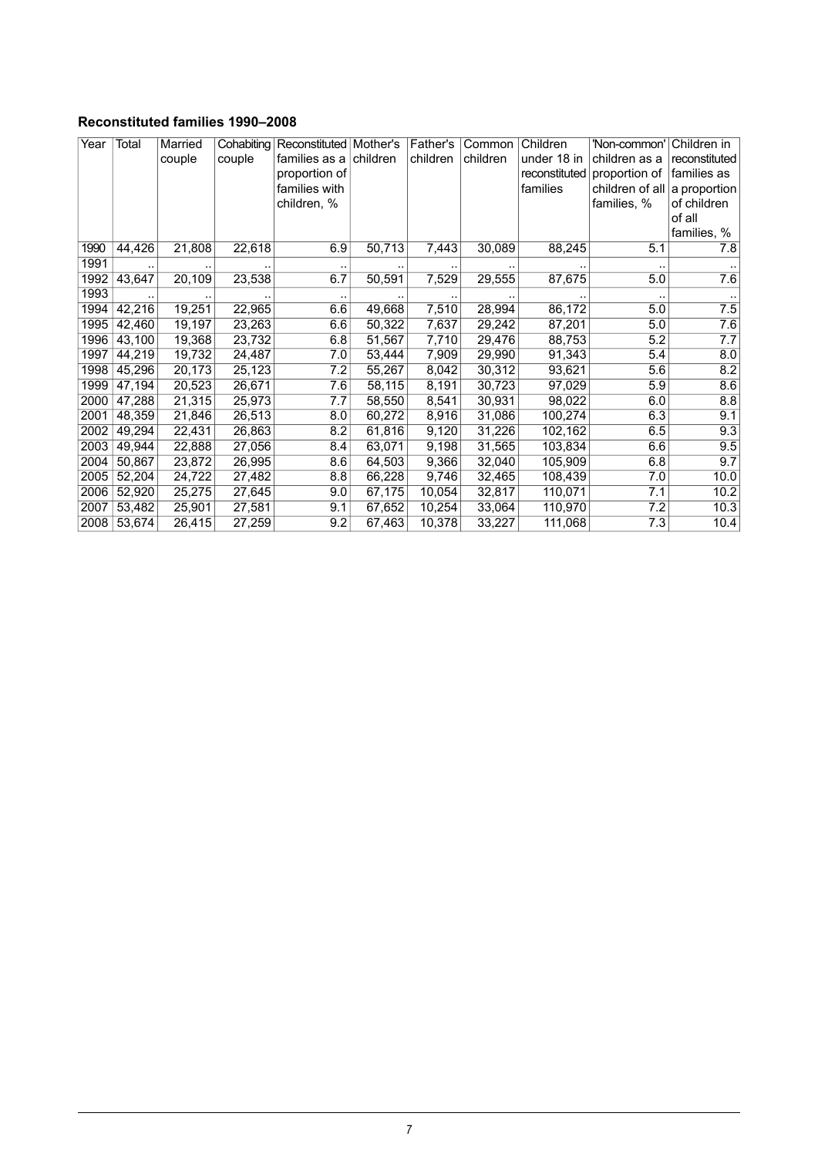#### <span id="page-6-0"></span>**Reconstituted families 1990–2008**

| Year | Total  | Married | Cohabiting | Reconstituted   Mother's |        | Father's | Common   | Children      | 'Non-common'    | Children in   |
|------|--------|---------|------------|--------------------------|--------|----------|----------|---------------|-----------------|---------------|
|      |        | couple  | couple     | families as a children   |        | children | children | under 18 in   | children as a   | reconstituted |
|      |        |         |            | proportion of            |        |          |          | reconstituted | proportion of   | families as   |
|      |        |         |            | families with            |        |          |          | families      | children of all | a proportion  |
|      |        |         |            | children, %              |        |          |          |               | families, %     | of children   |
|      |        |         |            |                          |        |          |          |               |                 | of all        |
|      |        |         |            |                          |        |          |          |               |                 | families, %   |
| 1990 | 44,426 | 21,808  | 22,618     | 6.9                      | 50,713 | 7,443    | 30,089   | 88,245        | 5.1             | 7.8           |
| 1991 |        |         |            |                          |        |          |          |               |                 |               |
| 1992 | 43,647 | 20,109  | 23,538     | 6.7                      | 50,591 | 7,529    | 29,555   | 87,675        | 5.0             | 7.6           |
| 1993 |        |         |            |                          |        |          |          |               |                 |               |
| 1994 | 42,216 | 19,251  | 22,965     | 6.6                      | 49,668 | 7,510    | 28,994   | 86,172        | 5.0             | 7.5           |
| 1995 | 42,460 | 19,197  | 23,263     | 6.6                      | 50,322 | 7,637    | 29,242   | 87,201        | 5.0             | 7.6           |
| 1996 | 43,100 | 19,368  | 23,732     | 6.8                      | 51,567 | 7,710    | 29,476   | 88,753        | 5.2             | 7.7           |
| 1997 | 44,219 | 19,732  | 24,487     | 7.0                      | 53,444 | 7,909    | 29,990   | 91,343        | 5.4             | 8.0           |
| 1998 | 45,296 | 20,173  | 25,123     | 7.2                      | 55,267 | 8,042    | 30,312   | 93,621        | 5.6             | 8.2           |
| 1999 | 47,194 | 20,523  | 26,671     | 7.6                      | 58,115 | 8,191    | 30,723   | 97,029        | 5.9             | 8.6           |
| 2000 | 47,288 | 21,315  | 25,973     | 7.7                      | 58,550 | 8,541    | 30,931   | 98,022        | 6.0             | 8.8           |
| 2001 | 48,359 | 21,846  | 26,513     | 8.0                      | 60,272 | 8,916    | 31,086   | 100,274       | 6.3             | 9.1           |
| 2002 | 49,294 | 22,431  | 26,863     | 8.2                      | 61,816 | 9,120    | 31,226   | 102,162       | 6.5             | 9.3           |
| 2003 | 49,944 | 22,888  | 27,056     | 8.4                      | 63,071 | 9,198    | 31,565   | 103,834       | 6.6             | 9.5           |
| 2004 | 50,867 | 23,872  | 26,995     | 8.6                      | 64,503 | 9,366    | 32,040   | 105,909       | 6.8             | 9.7           |
| 2005 | 52,204 | 24,722  | 27,482     | 8.8                      | 66,228 | 9,746    | 32,465   | 108,439       | 7.0             | 10.0          |
| 2006 | 52,920 | 25,275  | 27,645     | 9.0                      | 67,175 | 10,054   | 32,817   | 110,071       | 7.1             | 10.2          |
| 2007 | 53,482 | 25,901  | 27,581     | 9.1                      | 67,652 | 10,254   | 33,064   | 110,970       | 7.2             | 10.3          |
| 2008 | 53,674 | 26,415  | 27,259     | 9.2                      | 67,463 | 10,378   | 33,227   | 111,068       | 7.3             | 10.4          |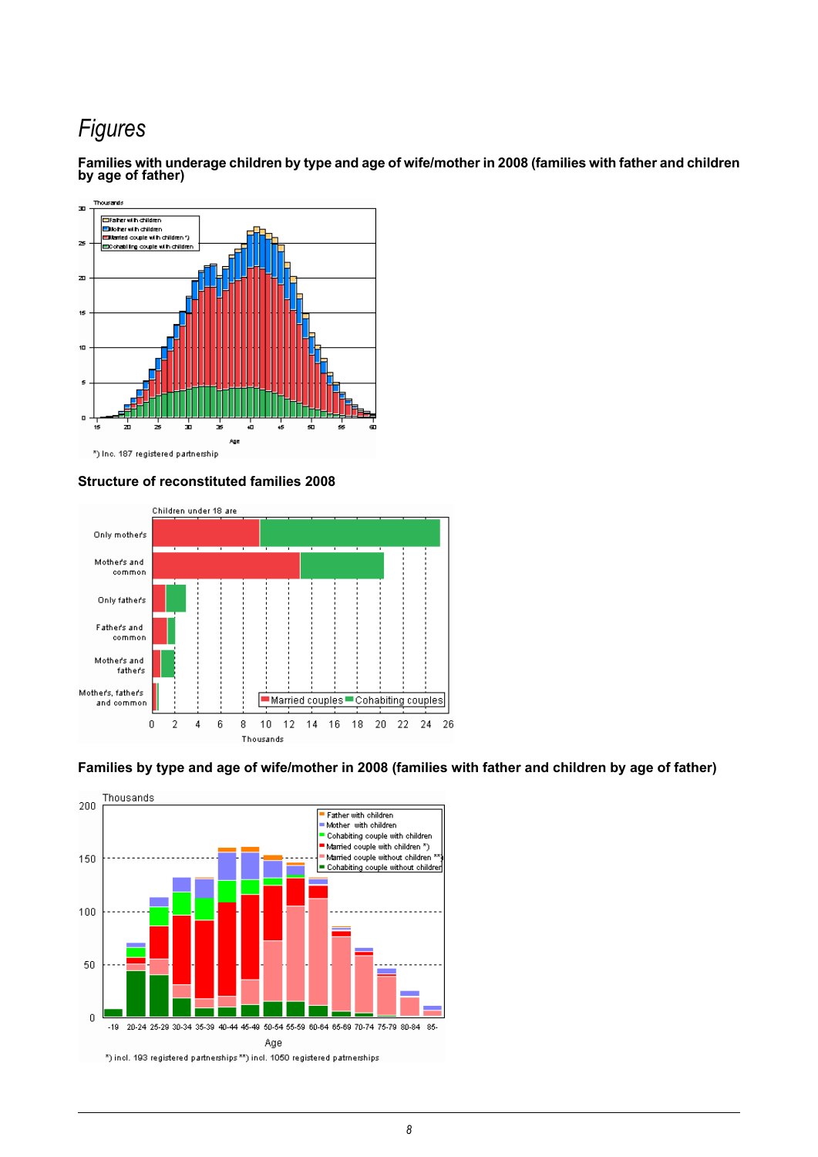# *Figures*



<span id="page-7-0"></span>**Families with underagechildren bytypeand age of wife/mother in 2008(families with fatherand children by age of father)**

#### <span id="page-7-1"></span>**Structure of reconstituted families 2008**



#### <span id="page-7-2"></span>Families by type and age of wife/mother in 2008 (families with father and children by age of father)

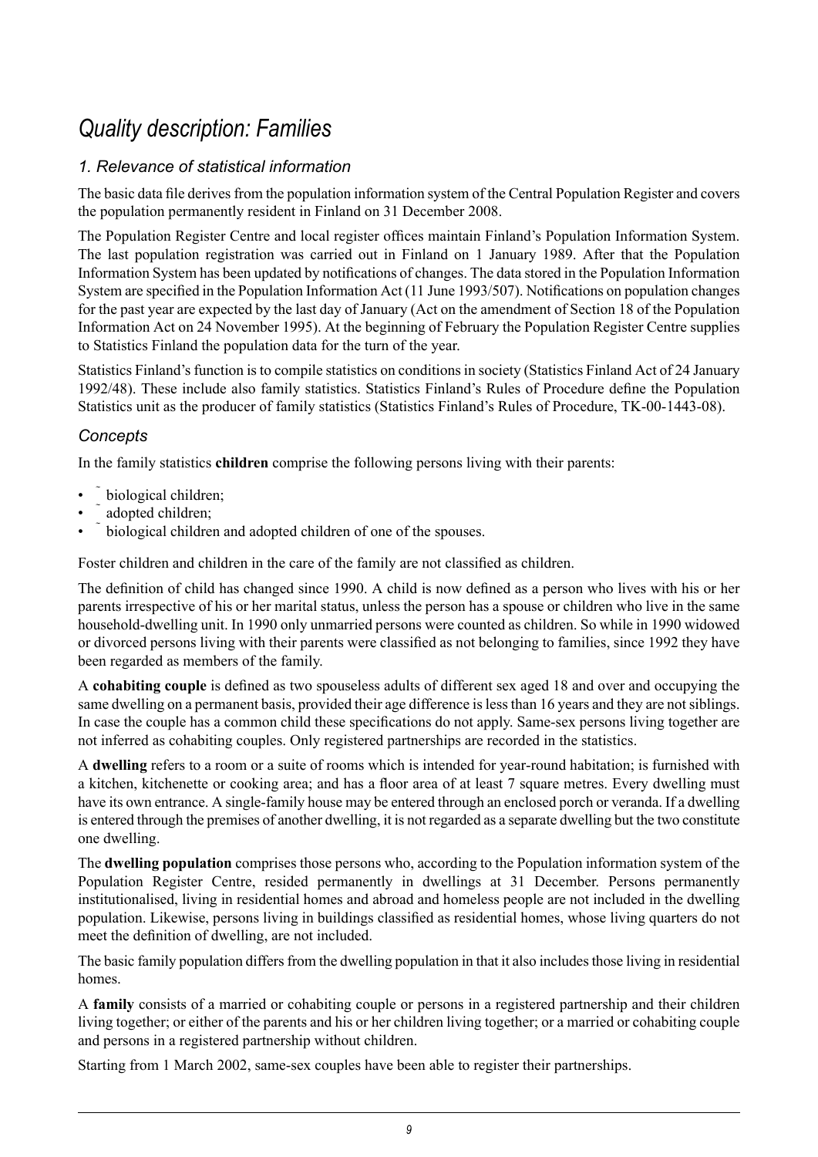# *Quality description: Families*

# <span id="page-8-0"></span>*1. Relevance of statistical information*

The basic data file derives from the population information system of the Central Population Register and covers the population permanently resident in Finland on 31 December 2008.

The Population Register Centre and local register offices maintain Finland's Population Information System. The last population registration was carried out in Finland on 1 January 1989. After that the Population Information System has been updated by notifications of changes. The data stored in the Population Information System are specified in the Population Information Act (11 June 1993/507). Notifications on population changes for the past year are expected by the last day of January (Act on the amendment of Section 18 of the Population Information Act on 24 November 1995). At the beginning of February the Population Register Centre supplies to Statistics Finland the population data for the turn of the year.

Statistics Finland's function is to compile statistics on conditions in society (Statistics Finland Act of 24 January 1992/48). These include also family statistics. Statistics Finland's Rules of Procedure define the Population Statistics unit as the producer of family statistics (Statistics Finland's Rules of Procedure, TK-00-1443-08).

# *Concepts*

In the family statistics **children** comprise the following persons living with their parents:

- biological children;
- adopted children;
- biological children and adopted children of one of the spouses.

Foster children and children in the care of the family are not classified as children.

The definition of child has changed since 1990. A child is now defined as a person who lives with his or her parents irrespective of his or her marital status, unless the person has a spouse or children who live in the same household-dwelling unit. In 1990 only unmarried persons were counted as children. So while in 1990 widowed or divorced persons living with their parents were classified as not belonging to families, since 1992 they have been regarded as members of the family.

A **cohabiting couple** is defined as two spouseless adults of different sex aged 18 and over and occupying the same dwelling on a permanent basis, provided their age difference is less than 16 years and they are not siblings. In case the couple has a common child these specifications do not apply. Same-sex persons living together are not inferred as cohabiting couples. Only registered partnerships are recorded in the statistics.

A **dwelling** refers to a room or a suite of rooms which is intended for year-round habitation; is furnished with a kitchen, kitchenette or cooking area; and has a floor area of at least 7 square metres. Every dwelling must have its own entrance. A single-family house may be entered through an enclosed porch or veranda. If a dwelling is entered through the premises of another dwelling, it is not regarded as a separate dwelling but the two constitute one dwelling.

The **dwelling population** comprises those persons who, according to the Population information system of the Population Register Centre, resided permanently in dwellings at 31 December. Persons permanently institutionalised, living in residential homes and abroad and homeless people are not included in the dwelling population. Likewise, persons living in buildings classified as residential homes, whose living quarters do not meet the definition of dwelling, are not included.

The basic family population differs from the dwelling population in that it also includes those living in residential homes.

A **family** consists of a married or cohabiting couple or persons in a registered partnership and their children living together; or either of the parents and his or her children living together; or a married or cohabiting couple and persons in a registered partnership without children.

Starting from 1 March 2002, same-sex couples have been able to register their partnerships.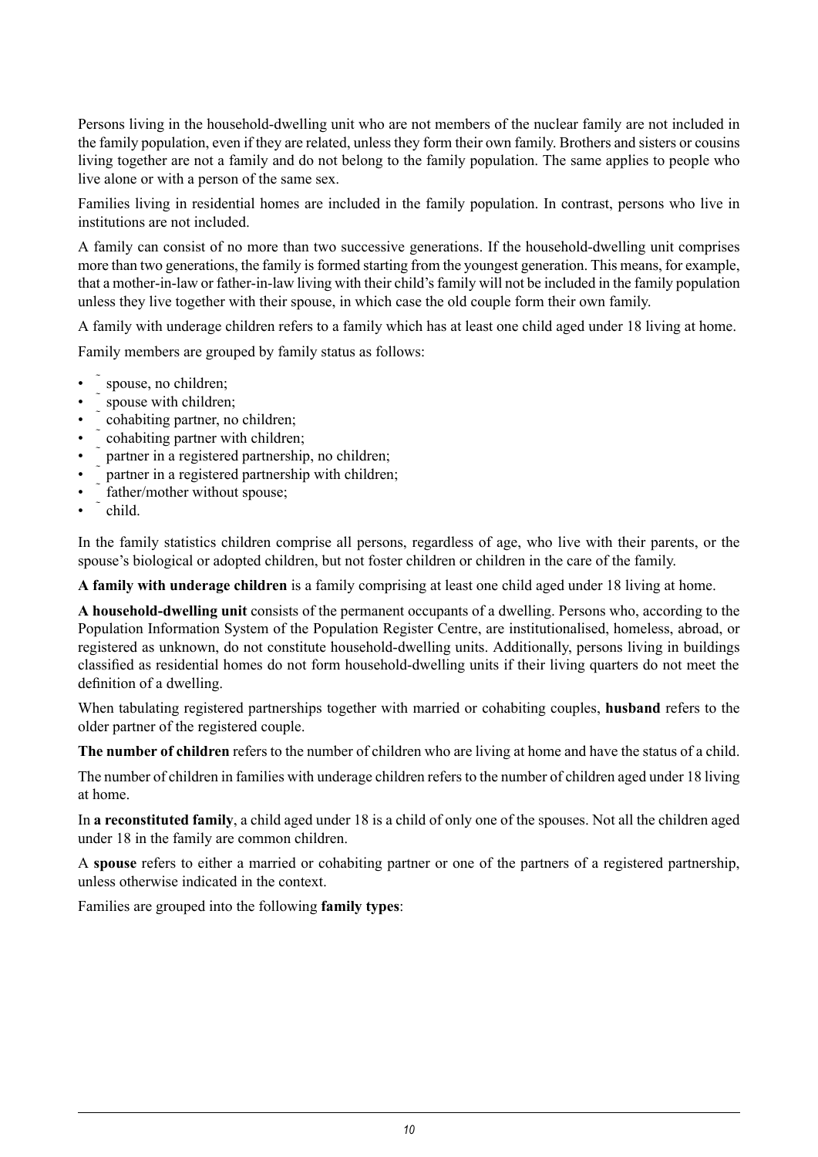Persons living in the household-dwelling unit who are not members of the nuclear family are not included in the family population, even if they are related, unless they form their own family. Brothers and sisters or cousins living together are not a family and do not belong to the family population. The same applies to people who live alone or with a person of the same sex.

Families living in residential homes are included in the family population. In contrast, persons who live in institutions are not included.

A family can consist of no more than two successive generations. If the household-dwelling unit comprises more than two generations, the family is formed starting from the youngest generation. This means, for example, that a mother-in-law or father-in-law living with their child's family will not be included in the family population unless they live together with their spouse, in which case the old couple form their own family.

A family with underage children refers to a family which has at least one child aged under 18 living at home.

Family members are grouped by family status as follows:

- spouse, no children;
- spouse with children;
- $\sim$  cohabiting partner, no children;
- cohabiting partner with children;
- $\tilde{\ }$  partner in a registered partnership, no children;
- partner in a registered partnership with children;
- father/mother without spouse;
- child.

In the family statistics children comprise all persons, regardless of age, who live with their parents, or the spouse's biological or adopted children, but not foster children or children in the care of the family.

**A family with underage children** is a family comprising at least one child aged under 18 living at home.

**A household-dwelling unit** consists of the permanent occupants of a dwelling. Persons who, according to the Population Information System of the Population Register Centre, are institutionalised, homeless, abroad, or registered as unknown, do not constitute household-dwelling units. Additionally, persons living in buildings classified as residential homes do not form household-dwelling units if their living quarters do not meet the definition of a dwelling.

When tabulating registered partnerships together with married or cohabiting couples, **husband** refers to the older partner of the registered couple.

**The number of children** refers to the number of children who are living at home and have the status of a child.

The number of children in families with underage children refers to the number of children aged under 18 living at home.

In **a reconstituted family**, a child aged under 18 is a child of only one of the spouses. Not all the children aged under 18 in the family are common children.

A **spouse** refers to either a married or cohabiting partner or one of the partners of a registered partnership, unless otherwise indicated in the context.

Families are grouped into the following **family types**: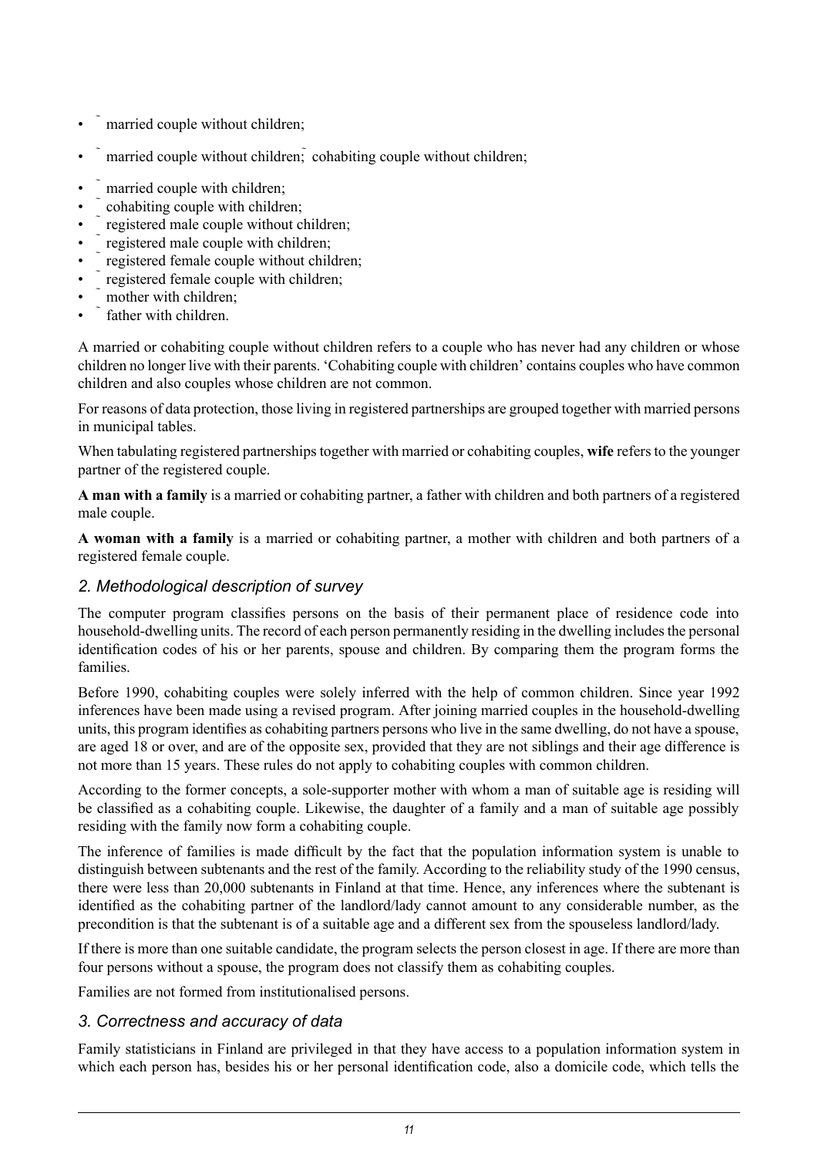- married couple without children;
- married couple without children; cohabiting couple without children;
- married couple with children;
- cohabiting couple with children;
- registered male couple without children;
- registered male couple with children;
- registered female couple without children;
- registered female couple with children;
- mother with children<sup>;</sup>
- father with children

A married or cohabiting couple without children refers to a couple who has never had any children or whose children no longer live with their parents. 'Cohabiting couple with children' contains couples who have common children and also couples whose children are not common.

For reasons of data protection, those living in registered partnerships are grouped together with married persons in municipal tables.

When tabulating registered partnerships together with married or cohabiting couples, **wife** refers to the younger partner of the registered couple.

**A man with a family** is a married or cohabiting partner, a father with children and both partners of a registered male couple.

**A woman with a family** is a married or cohabiting partner, a mother with children and both partners of a registered female couple.

# *2. Methodological description of survey*

The computer program classifies persons on the basis of their permanent place of residence code into household-dwelling units. The record of each person permanently residing in the dwelling includes the personal identification codes of his or her parents, spouse and children. By comparing them the program forms the families.

Before 1990, cohabiting couples were solely inferred with the help of common children. Since year 1992 inferences have been made using a revised program. After joining married couples in the household-dwelling units, this program identifies as cohabiting partners persons who live in the same dwelling, do not have a spouse, are aged 18 or over, and are of the opposite sex, provided that they are not siblings and their age difference is not more than 15 years. These rules do not apply to cohabiting couples with common children.

According to the former concepts, a sole-supporter mother with whom a man of suitable age is residing will be classified as a cohabiting couple. Likewise, the daughter of a family and a man of suitable age possibly residing with the family now form a cohabiting couple.

The inference of families is made difficult by the fact that the population information system is unable to distinguish between subtenants and the rest of the family. According to the reliability study of the 1990 census, there were less than 20,000 subtenants in Finland at that time. Hence, any inferences where the subtenant is identified as the cohabiting partner of the landlord/lady cannot amount to any considerable number, as the precondition is that the subtenant is of a suitable age and a different sex from the spouseless landlord/lady.

If there is more than one suitable candidate, the program selects the person closest in age. If there are more than four persons without a spouse, the program does not classify them as cohabiting couples.

Families are not formed from institutionalised persons.

# *3. Correctness and accuracy of data*

Family statisticians in Finland are privileged in that they have access to a population information system in which each person has, besides his or her personal identification code, also a domicile code, which tells the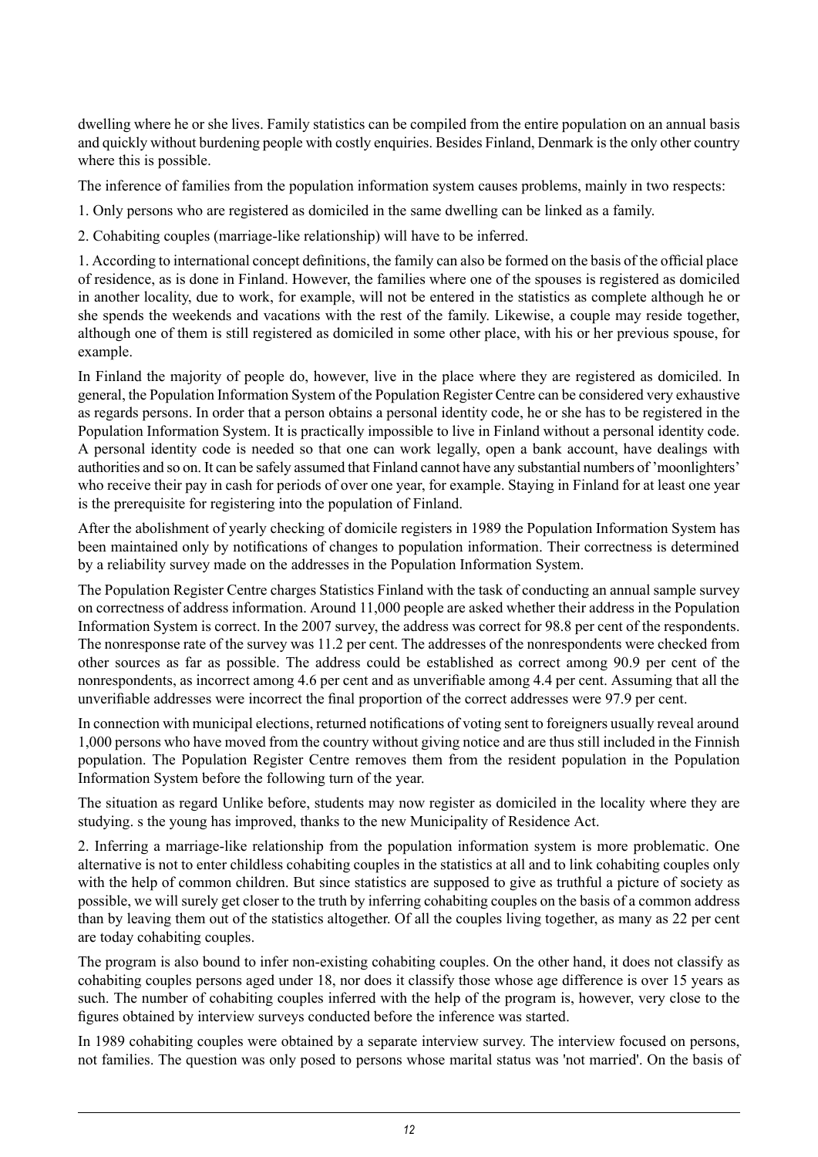dwelling where he or she lives. Family statistics can be compiled from the entire population on an annual basis and quickly without burdening people with costly enquiries. Besides Finland, Denmark isthe only other country where this is possible.

The inference of families from the population information system causes problems, mainly in two respects:

1. Only persons who are registered as domiciled in the same dwelling can be linked as a family.

2. Cohabiting couples (marriage-like relationship) will have to be inferred.

1. According to international concept definitions, the family can also be formed on the basis of the official place of residence, as is done in Finland. However, the families where one of the spouses is registered as domiciled in another locality, due to work, for example, will not be entered in the statistics as complete although he or she spends the weekends and vacations with the rest of the family. Likewise, a couple may reside together, although one of them is still registered as domiciled in some other place, with his or her previous spouse, for example.

In Finland the majority of people do, however, live in the place where they are registered as domiciled. In general, the Population Information System of the Population Register Centre can be considered very exhaustive as regards persons. In order that a person obtains a personal identity code, he or she has to be registered in the Population Information System. It is practically impossible to live in Finland without a personal identity code. A personal identity code is needed so that one can work legally, open a bank account, have dealings with authorities and so on. It can be safely assumed that Finland cannot have any substantial numbers of 'moonlighters' who receive their pay in cash for periods of over one year, for example. Staying in Finland for at least one year is the prerequisite for registering into the population of Finland.

After the abolishment of yearly checking of domicile registers in 1989 the Population Information System has been maintained only by notifications of changes to population information. Their correctness is determined by a reliability survey made on the addresses in the Population Information System.

The Population Register Centre charges Statistics Finland with the task of conducting an annual sample survey on correctness of address information. Around 11,000 people are asked whether their address in the Population Information System is correct. In the 2007 survey, the address was correct for 98.8 per cent of the respondents. The nonresponse rate of the survey was 11.2 per cent. The addresses of the nonrespondents were checked from other sources as far as possible. The address could be established as correct among 90.9 per cent of the nonrespondents, as incorrect among 4.6 per cent and as unverifiable among 4.4 per cent. Assuming that all the unverifiable addresses were incorrect the final proportion of the correct addresses were 97.9 per cent.

In connection with municipal elections, returned notifications of voting sent to foreigners usually reveal around 1,000 persons who have moved from the country without giving notice and are thus still included in the Finnish population. The Population Register Centre removes them from the resident population in the Population Information System before the following turn of the year.

The situation as regard Unlike before, students may now register as domiciled in the locality where they are studying. s the young has improved, thanks to the new Municipality of Residence Act.

2. Inferring a marriage-like relationship from the population information system is more problematic. One alternative is not to enter childless cohabiting couples in the statistics at all and to link cohabiting couples only with the help of common children. But since statistics are supposed to give as truthful a picture of society as possible, we will surely get closer to the truth by inferring cohabiting couples on the basis of a common address than by leaving them out of the statistics altogether. Of all the couples living together, as many as 22 per cent are today cohabiting couples.

The program is also bound to infer non-existing cohabiting couples. On the other hand, it does not classify as cohabiting couples persons aged under 18, nor does it classify those whose age difference is over 15 years as such. The number of cohabiting couples inferred with the help of the program is, however, very close to the figures obtained by interview surveys conducted before the inference was started.

In 1989 cohabiting couples were obtained by a separate interview survey. The interview focused on persons, not families. The question was only posed to persons whose marital status was 'not married'. On the basis of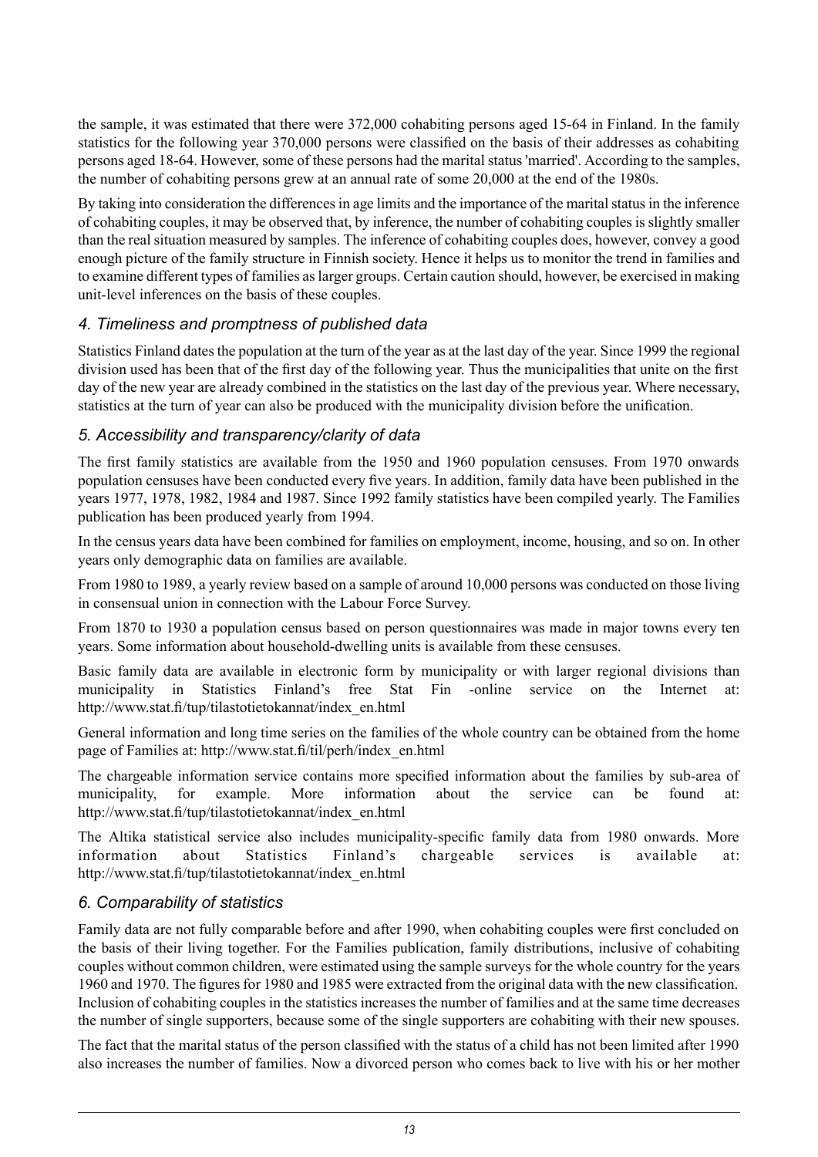the sample, it was estimated that there were 372,000 cohabiting persons aged 15-64 in Finland. In the family statistics for the following year 370,000 persons were classified on the basis of their addresses as cohabiting persons aged 18-64. However, some of these persons had the marital status 'married'. According to the samples, the number of cohabiting persons grew at an annual rate of some 20,000 at the end of the 1980s.

By taking into consideration the differences in age limits and the importance of the marital status in the inference of cohabiting couples, it may be observed that, by inference, the number of cohabiting couplesisslightly smaller than the real situation measured by samples. The inference of cohabiting couples does, however, convey a good enough picture of the family structure in Finnish society. Hence it helps us to monitor the trend in families and to examine different types of families aslarger groups. Certain caution should, however, be exercised in making unit-level inferences on the basis of these couples.

### *4. Timeliness and promptness of published data*

Statistics Finland dates the population at the turn of the year as at the last day of the year. Since 1999 the regional division used has been that of the first day of the following year. Thus the municipalities that unite on the first day of the new year are already combined in the statistics on the last day of the previous year. Where necessary, statistics at the turn of year can also be produced with the municipality division before the unification.

### *5. Accessibility and transparency/clarity of data*

The first family statistics are available from the 1950 and 1960 population censuses. From 1970 onwards population censuses have been conducted every five years. In addition, family data have been published in the years 1977, 1978, 1982, 1984 and 1987. Since 1992 family statistics have been compiled yearly. The Families publication has been produced yearly from 1994.

In the census years data have been combined for families on employment, income, housing, and so on. In other years only demographic data on families are available.

From 1980 to 1989, a yearly review based on a sample of around 10,000 persons was conducted on those living in consensual union in connection with the Labour Force Survey.

From 1870 to 1930 a population census based on person questionnaires was made in major towns every ten years. Some information about household-dwelling units is available from these censuses.

Basic family data are available in electronic form by municipality or with larger regional divisions than municipality in Statistics Finland's free Stat Fin -online service on the Internet at: http://www.stat.fi/tup/tilastotietokannat/index\_en.html

General information and long time series on the families of the whole country can be obtained from the home page of Families at: http://www.stat.fi/til/perh/index\_en.html

The chargeable information service contains more specified information about the families by sub-area of municipality, for example. More information about the service can be found at: http://www.stat.fi/tup/tilastotietokannat/index\_en.html

The Altika statistical service also includes municipality-specific family data from 1980 onwards. More information about Statistics Finland's chargeable services is available at: http://www.stat.fi/tup/tilastotietokannat/index\_en.html

# *6. Comparability of statistics*

Family data are not fully comparable before and after 1990, when cohabiting couples were first concluded on the basis of their living together. For the Families publication, family distributions, inclusive of cohabiting couples without common children, were estimated using the sample surveys for the whole country for the years 1960 and 1970. The figures for 1980 and 1985 were extracted from the original data with the new classification. Inclusion of cohabiting couples in the statistics increases the number of families and at the same time decreases the number of single supporters, because some of the single supporters are cohabiting with their new spouses.

The fact that the marital status of the person classified with the status of a child has not been limited after 1990 also increases the number of families. Now a divorced person who comes back to live with his or her mother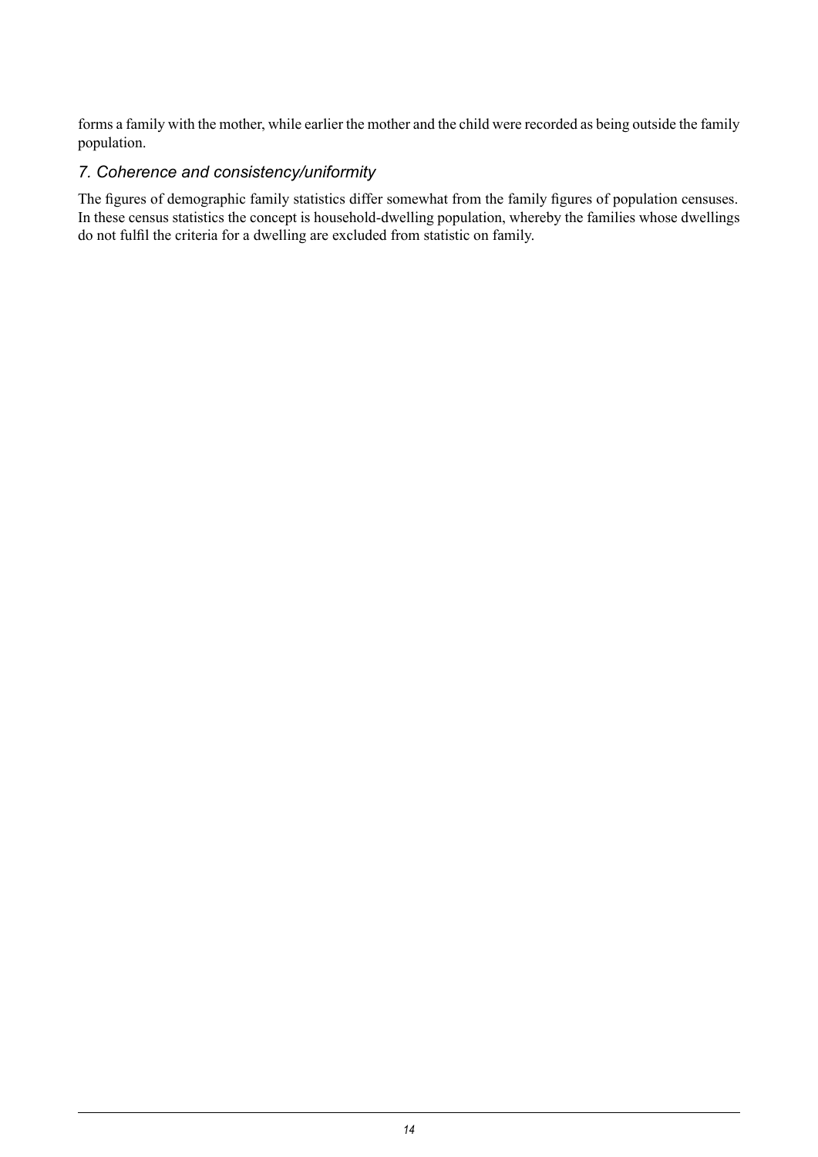forms a family with the mother, while earlier the mother and the child were recorded as being outside the family population.

# *7. Coherence and consistency/uniformity*

The figures of demographic family statistics differ somewhat from the family figures of population censuses. In these census statistics the concept is household-dwelling population, whereby the families whose dwellings do not fulfil the criteria for a dwelling are excluded from statistic on family.